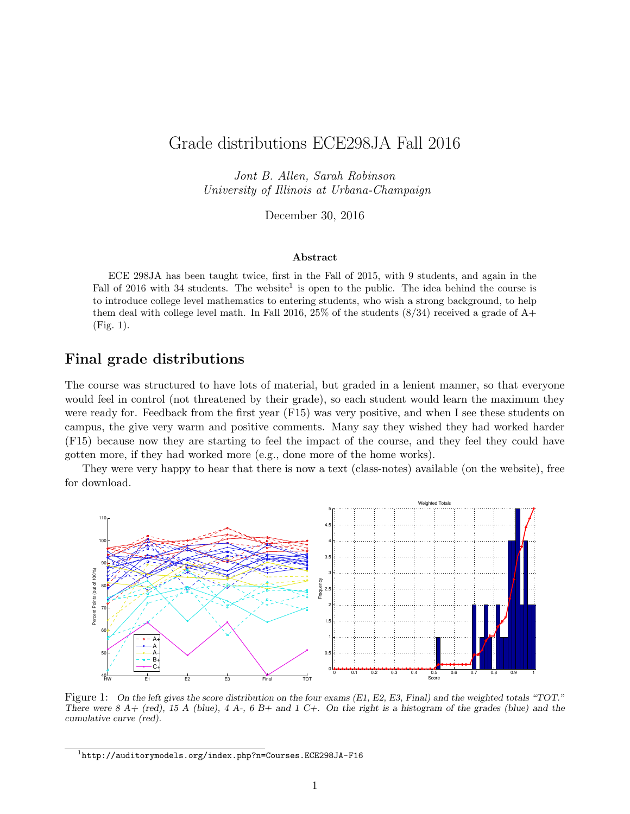## Grade distributions ECE298JA Fall 2016

Jont B. Allen, Sarah Robinson University of Illinois at Urbana-Champaign

December 30, 2016

## Abstract

ECE 298JA has been taught twice, first in the Fall of 2015, with 9 students, and again in the Fall of 2016 with 34 students. The website<sup>1</sup> is open to the public. The idea behind the course is to introduce college level mathematics to entering students, who wish a strong background, to help them deal with college level math. In Fall 2016, 25% of the students  $(8/34)$  received a grade of  $A+$ (Fig. 1).

## Final grade distributions

The course was structured to have lots of material, but graded in a lenient manner, so that everyone would feel in control (not threatened by their grade), so each student would learn the maximum they were ready for. Feedback from the first year (F15) was very positive, and when I see these students on campus, the give very warm and positive comments. Many say they wished they had worked harder (F15) because now they are starting to feel the impact of the course, and they feel they could have gotten more, if they had worked more (e.g., done more of the home works).

They were very happy to hear that there is now a text (class-notes) available (on the website), free for download.



Figure 1: On the left gives the score distribution on the four exams (E1, E2, E3, Final) and the weighted totals "TOT." There were  $8 \text{ A}+$  (red),  $15 \text{ A}$  (blue),  $4 \text{ A}$ -,  $6 \text{ B}+$  and  $1 \text{ C}+$ . On the right is a histogram of the grades (blue) and the cumulative curve (red).

<sup>1</sup> http://auditorymodels.org/index.php?n=Courses.ECE298JA-F16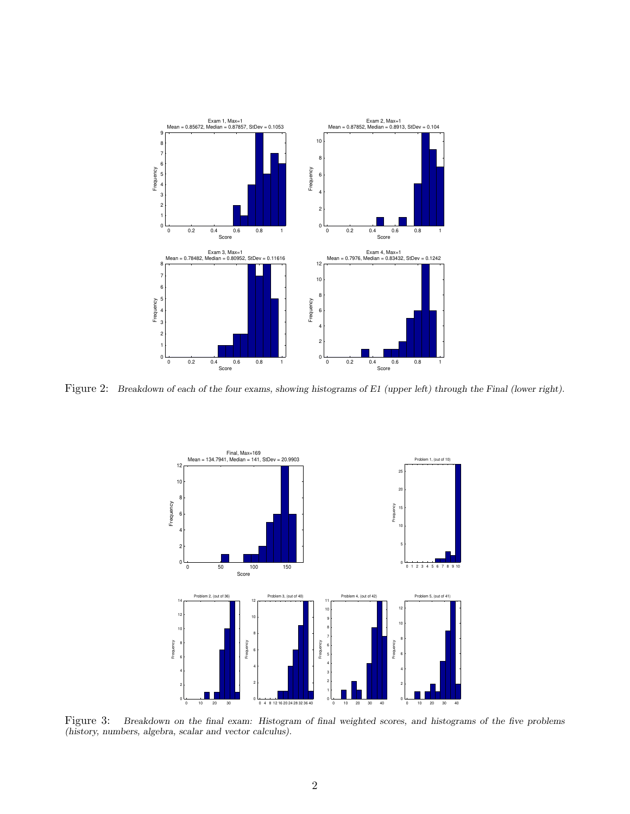

Figure 2: Breakdown of each of the four exams, showing histograms of E1 (upper left) through the Final (lower right).



Figure 3: Breakdown on the final exam: Histogram of final weighted scores, and histograms of the five problems (history, numbers, algebra, scalar and vector calculus).